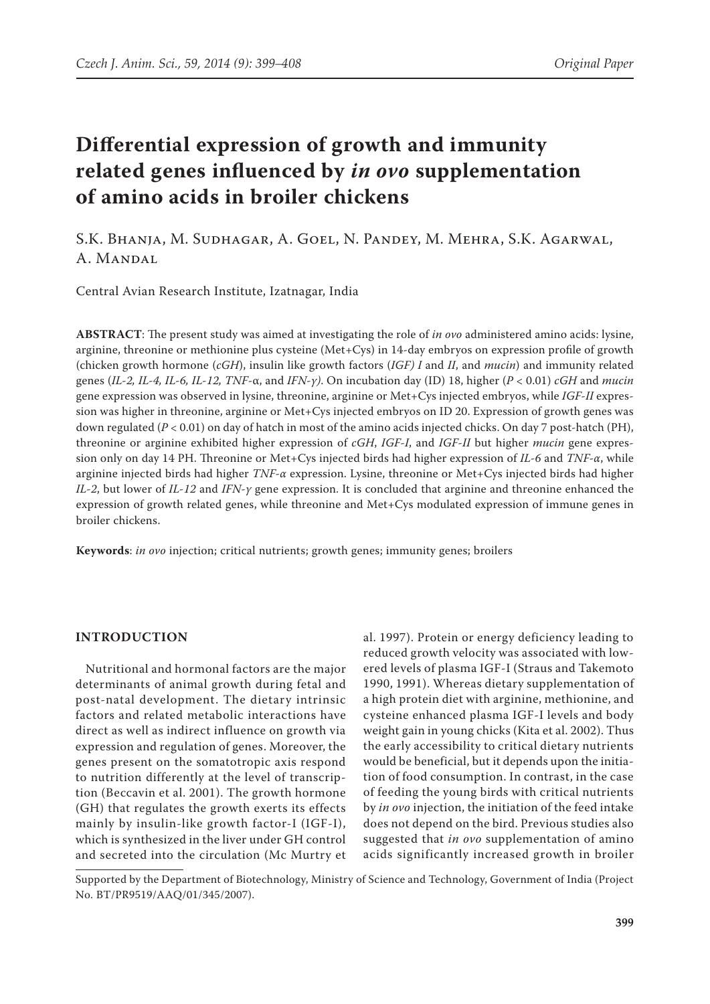# **Differential expression of growth and immunity related genes influenced by** *in ovo* **supplementation of amino acids in broiler chickens**

S.K. Bhanja, M. Sudhagar, A. Goel, N. Pandey, M. Mehra, S.K. Agarwal, A. Mandal

Central Avian Research Institute, Izatnagar, India

**ABSTRACT**: The present study was aimed at investigating the role of *in ovo* administered amino acids: lysine, arginine, threonine or methionine plus cysteine (Met+Cys) in 14-day embryos on expression profile of growth (chicken growth hormone (*cGH*), insulin like growth factors (*IGF) I* and *II*, and *mucin*) and immunity related genes (*IL-2, IL-4, IL-6, IL-12, TNF*-α, and *IFN-γ)*. On incubation day (ID) 18, higher (*P* < 0.01) *cGH* and *mucin* gene expression was observed in lysine, threonine, arginine or Met+Cys injected embryos, while *IGF-II* expression was higher in threonine, arginine or Met+Cys injected embryos on ID 20. Expression of growth genes was down regulated (*P* < 0.01) on day of hatch in most of the amino acids injected chicks. On day 7 post-hatch (PH), threonine or arginine exhibited higher expression of *cGH*, *IGF-I*, and *IGF-II* but higher *mucin* gene expression only on day 14 PH. Threonine or Met+Cys injected birds had higher expression of *IL-6* and *TNF-α*, while arginine injected birds had higher *TNF-α* expression. Lysine, threonine or Met+Cys injected birds had higher *IL-2*, but lower of *IL-12* and *IFN-γ* gene expression. It is concluded that arginine and threonine enhanced the expression of growth related genes, while threonine and Met+Cys modulated expression of immune genes in broiler chickens.

**Keywords**: *in ovo* injection; critical nutrients; growth genes; immunity genes; broilers

### **INTRODUCTION**

Nutritional and hormonal factors are the major determinants of animal growth during fetal and post-natal development. The dietary intrinsic factors and related metabolic interactions have direct as well as indirect influence on growth via expression and regulation of genes. Moreover, the genes present on the somatotropic axis respond to nutrition differently at the level of transcription (Beccavin et al. 2001). The growth hormone (GH) that regulates the growth exerts its effects mainly by insulin-like growth factor-I (IGF-I), which is synthesized in the liver under GH control and secreted into the circulation (Mc Murtry et al. 1997). Protein or energy deficiency leading to reduced growth velocity was associated with lowered levels of plasma IGF-I (Straus and Takemoto 1990, 1991). Whereas dietary supplementation of a high protein diet with arginine, methionine, and cysteine enhanced plasma IGF-I levels and body weight gain in young chicks (Kita et al. 2002). Thus the early accessibility to critical dietary nutrients would be beneficial, but it depends upon the initiation of food consumption. In contrast, in the case of feeding the young birds with critical nutrients by *in ovo* injection, the initiation of the feed intake does not depend on the bird. Previous studies also suggested that *in ovo* supplementation of amino acids significantly increased growth in broiler

Supported by the Department of Biotechnology, Ministry of Science and Technology, Government of India (Project No. BT/PR9519/AAQ/01/345/2007).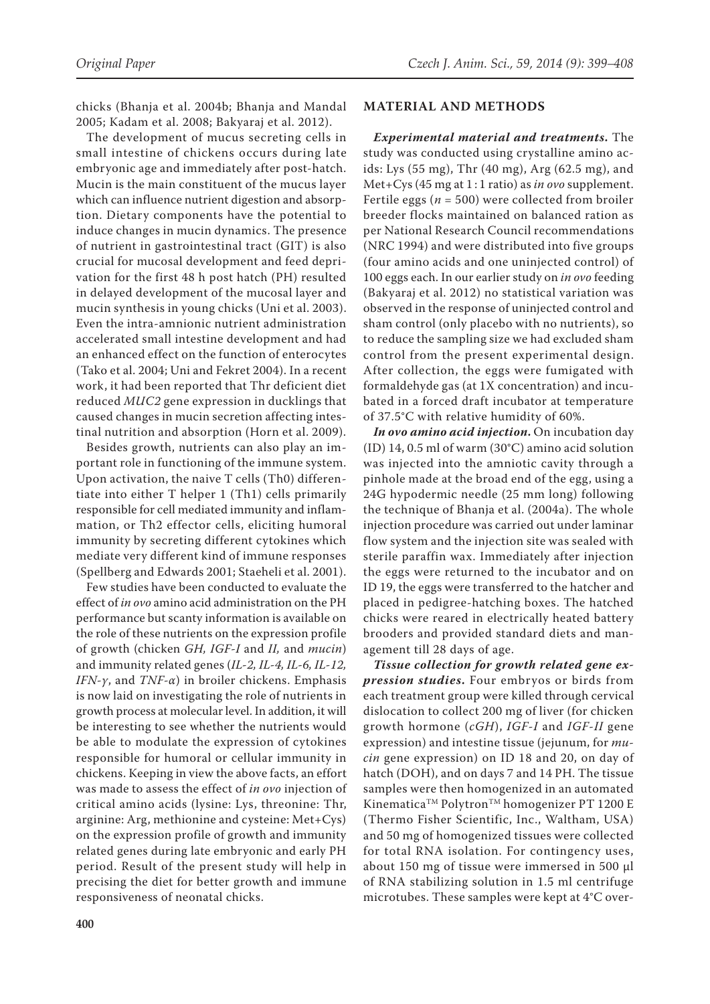chicks (Bhanja et al. 2004b; Bhanja and Mandal 2005; Kadam et al. 2008; Bakyaraj et al. 2012).

The development of mucus secreting cells in small intestine of chickens occurs during late embryonic age and immediately after post-hatch. Mucin is the main constituent of the mucus layer which can influence nutrient digestion and absorption. Dietary components have the potential to induce changes in mucin dynamics. The presence of nutrient in gastrointestinal tract (GIT) is also crucial for mucosal development and feed deprivation for the first 48 h post hatch (PH) resulted in delayed development of the mucosal layer and mucin synthesis in young chicks (Uni et al. 2003). Even the intra-amnionic nutrient administration accelerated small intestine development and had an enhanced effect on the function of enterocytes (Tako et al. 2004; Uni and Fekret 2004). In a recent work, it had been reported that Thr deficient diet reduced *MUC2* gene expression in ducklings that caused changes in mucin secretion affecting intestinal nutrition and absorption (Horn et al. 2009).

Besides growth, nutrients can also play an important role in functioning of the immune system. Upon activation, the naive T cells (Th0) differentiate into either T helper 1 (Th1) cells primarily responsible for cell mediated immunity and inflammation, or Th2 effector cells, eliciting humoral immunity by secreting different cytokines which mediate very different kind of immune responses (Spellberg and Edwards 2001; Staeheli et al. 2001).

Few studies have been conducted to evaluate the effect of *in ovo* amino acid administration on the PH performance but scanty information is available on the role of these nutrients on the expression profile of growth (chicken *GH, IGF-I* and *II,* and *mucin*) and immunity related genes (*IL-2, IL-4, IL-6, IL-12, IFN-γ*, and *TNF-α*) in broiler chickens. Emphasis is now laid on investigating the role of nutrients in growth process at molecular level. In addition, it will be interesting to see whether the nutrients would be able to modulate the expression of cytokines responsible for humoral or cellular immunity in chickens. Keeping in view the above facts, an effort was made to assess the effect of *in ovo* injection of critical amino acids (lysine: Lys, threonine: Thr, arginine: Arg, methionine and cysteine: Met+Cys) on the expression profile of growth and immunity related genes during late embryonic and early PH period. Result of the present study will help in precising the diet for better growth and immune responsiveness of neonatal chicks.

#### **MATERIAL AND METHODS**

*Experimental material and treatments***.** The study was conducted using crystalline amino acids: Lys (55 mg), Thr (40 mg), Arg (62.5 mg), and Met+Cys (45 mg at 1 : 1 ratio) as *in ovo* supplement. Fertile eggs ( $n = 500$ ) were collected from broiler breeder flocks maintained on balanced ration as per National Research Council recommendations (NRC 1994) and were distributed into five groups (four amino acids and one uninjected control) of 100 eggs each. In our earlier study on *in ovo* feeding (Bakyaraj et al. 2012) no statistical variation was observed in the response of uninjected control and sham control (only placebo with no nutrients), so to reduce the sampling size we had excluded sham control from the present experimental design. After collection, the eggs were fumigated with formaldehyde gas (at 1X concentration) and incubated in a forced draft incubator at temperature of 37.5°C with relative humidity of 60%.

*In ovo amino acid injection***.** On incubation day (ID) 14, 0.5 ml of warm (30°C) amino acid solution was injected into the amniotic cavity through a pinhole made at the broad end of the egg, using a 24G hypodermic needle (25 mm long) following the technique of Bhanja et al. (2004a). The whole injection procedure was carried out under laminar flow system and the injection site was sealed with sterile paraffin wax. Immediately after injection the eggs were returned to the incubator and on ID 19, the eggs were transferred to the hatcher and placed in pedigree-hatching boxes. The hatched chicks were reared in electrically heated battery brooders and provided standard diets and management till 28 days of age.

*Tissue collection for growth related gene expression studies***.** Four embryos or birds from each treatment group were killed through cervical dislocation to collect 200 mg of liver (for chicken growth hormone (*cGH*), *IGF-I* and *IGF-II* gene expression) and intestine tissue (jejunum, for *mucin* gene expression) on ID 18 and 20, on day of hatch (DOH), and on days 7 and 14 PH. The tissue samples were then homogenized in an automated Kinematica™ Polytron<sup>™</sup> homogenizer PT 1200 E (Thermo Fisher Scientific, Inc., Waltham, USA) and 50 mg of homogenized tissues were collected for total RNA isolation. For contingency uses, about 150 mg of tissue were immersed in 500 µl of RNA stabilizing solution in 1.5 ml centrifuge microtubes. These samples were kept at 4°C over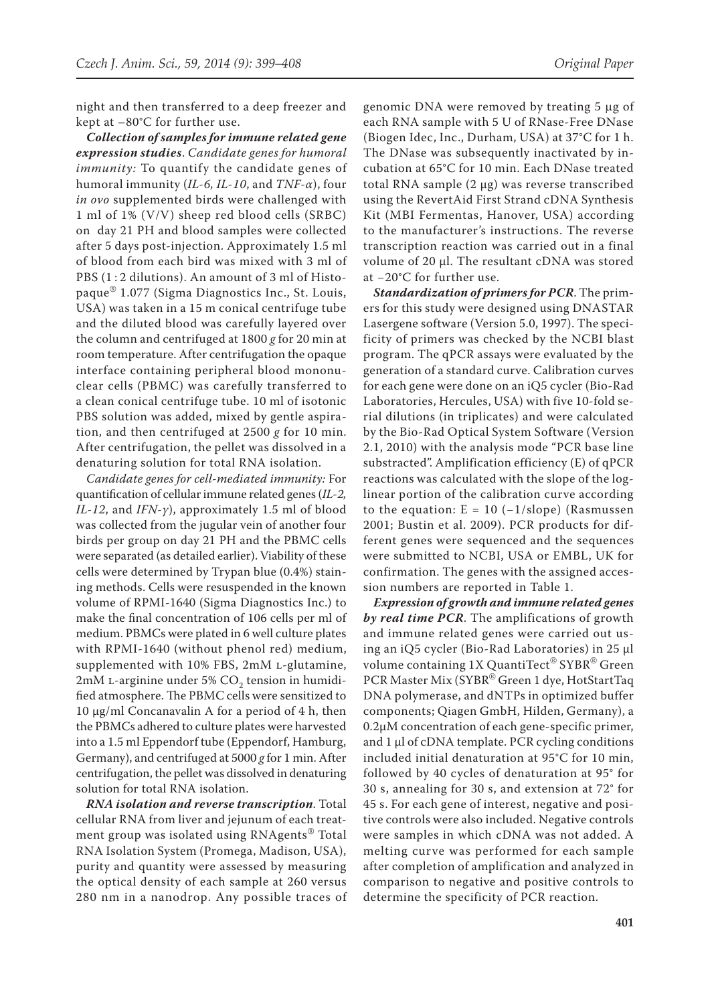night and then transferred to a deep freezer and kept at –80°C for further use.

*Collection of samples for immune related gene expression studies*. *Candidate genes for humoral immunity:* To quantify the candidate genes of humoral immunity (*IL-6, IL-10*, and *TNF-α*), four *in ovo* supplemented birds were challenged with 1 ml of 1% (V/V) sheep red blood cells (SRBC) on day 21 PH and blood samples were collected after 5 days post-injection. Approximately 1.5 ml of blood from each bird was mixed with 3 ml of PBS (1:2 dilutions). An amount of 3 ml of Histopaque® 1.077 (Sigma Diagnostics Inc., St. Louis, USA) was taken in a 15 m conical centrifuge tube and the diluted blood was carefully layered over the column and centrifuged at 1800 *g* for 20 min at room temperature. After centrifugation the opaque interface containing peripheral blood mononuclear cells (PBMC) was carefully transferred to a clean conical centrifuge tube. 10 ml of isotonic PBS solution was added, mixed by gentle aspiration, and then centrifuged at 2500 *g* for 10 min. After centrifugation, the pellet was dissolved in a denaturing solution for total RNA isolation.

*Candidate genes for cell-mediated immunity:* For quantification of cellular immune related genes (*IL-2, IL-12*, and *IFN-γ*), approximately 1.5 ml of blood was collected from the jugular vein of another four birds per group on day 21 PH and the PBMC cells were separated (as detailed earlier). Viability of these cells were determined by Trypan blue (0.4%) staining methods. Cells were resuspended in the known volume of RPMI-1640 (Sigma Diagnostics Inc.) to make the final concentration of 106 cells per ml of medium. PBMCs were plated in 6 well culture plates with RPMI-1640 (without phenol red) medium, supplemented with 10% FBS, 2mM L-glutamine, 2mM L-arginine under 5% CO<sub>2</sub> tension in humidified atmosphere. The PBMC cells were sensitized to 10  $\mu$ g/ml Concanavalin A for a period of 4 h, then the PBMCs adhered to culture plates were harvested into a 1.5 ml Eppendorf tube (Eppendorf, Hamburg, Germany), and centrifuged at 5000 *g* for 1 min. After centrifugation, the pellet was dissolved in denaturing solution for total RNA isolation.

*RNA isolation and reverse transcription*. Total cellular RNA from liver and jejunum of each treatment group was isolated using RNAgents® Total RNA Isolation System (Promega, Madison, USA), purity and quantity were assessed by measuring the optical density of each sample at 260 versus 280 nm in a nanodrop. Any possible traces of genomic DNA were removed by treating  $5 \mu$ g of each RNA sample with 5 U of RNase-Free DNase (Biogen Idec, Inc., Durham, USA) at 37°C for 1 h. The DNase was subsequently inactivated by incubation at 65°C for 10 min. Each DNase treated total RNA sample (2 µg) was reverse transcribed using the RevertAid First Strand cDNA Synthesis Kit (MBI Fermentas, Hanover, USA) according to the manufacturer's instructions. The reverse transcription reaction was carried out in a final volume of 20 µl. The resultant cDNA was stored at −20°C for further use.

*Standardization of primers for PCR*. The primers for this study were designed using DNASTAR Lasergene software (Version 5.0, 1997). The specificity of primers was checked by the NCBI blast program. The qPCR assays were evaluated by the generation of a standard curve. Calibration curves for each gene were done on an iQ5 cycler (Bio-Rad Laboratories, Hercules, USA) with five 10-fold serial dilutions (in triplicates) and were calculated by the Bio-Rad Optical System Software (Version 2.1, 2010) with the analysis mode "PCR base line substracted". Amplification efficiency (E) of qPCR reactions was calculated with the slope of the loglinear portion of the calibration curve according to the equation:  $E = 10$  (-1/slope) (Rasmussen 2001; Bustin et al. 2009). PCR products for different genes were sequenced and the sequences were submitted to NCBI, USA or EMBL, UK for confirmation. The genes with the assigned accession numbers are reported in Table 1.

*Expression of growth and immune related genes by real time PCR*. The amplifications of growth and immune related genes were carried out using an iQ5 cycler (Bio-Rad Laboratories) in 25 µl volume containing 1X QuantiTect<sup>®</sup> SYBR<sup>®</sup> Green PCR Master Mix (SYBR® Green 1 dye, HotStartTaq DNA polymerase, and dNTPs in optimized buffer components; Qiagen GmbH, Hilden, Germany), a 0.2μM concentration of each gene-specific primer, and 1 µl of cDNA template. PCR cycling conditions included initial denaturation at 95°C for 10 min, followed by 40 cycles of denaturation at 95° for 30 s, annealing for 30 s, and extension at 72° for 45 s. For each gene of interest, negative and positive controls were also included. Negative controls were samples in which cDNA was not added. A melting curve was performed for each sample after completion of amplification and analyzed in comparison to negative and positive controls to determine the specificity of PCR reaction.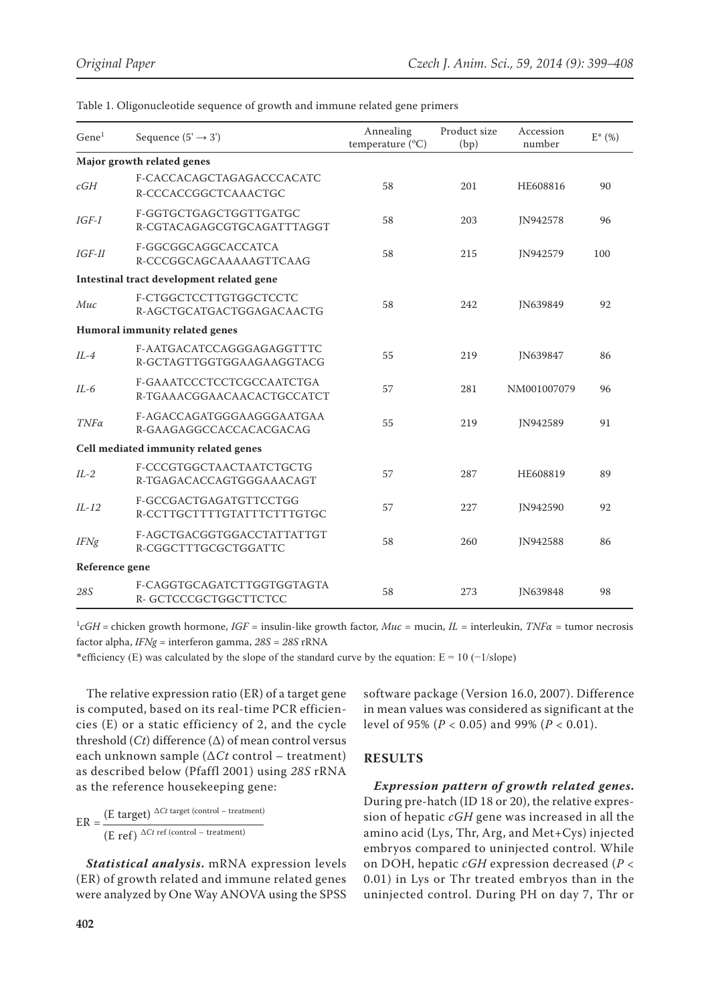| Gene <sup>1</sup>                         | Sequence $(5' \rightarrow 3')$                          | Annealing<br>temperature (°C) | Product size<br>(bp) | Accession<br>number | $E^*$ (%) |
|-------------------------------------------|---------------------------------------------------------|-------------------------------|----------------------|---------------------|-----------|
| Major growth related genes                |                                                         |                               |                      |                     |           |
| cGH                                       | F-CACCACAGCTAGAGACCCACATC<br>R-CCCACCGGCTCAAACTGC       | 58                            | 201                  | HE608816            | 90        |
| $IGF-I$                                   | F-GGTGCTGAGCTGGTTGATGC<br>R-CGTACAGAGCGTGCAGATTTAGGT    | 58                            | 203                  | JN942578            | 96        |
| $IGF-II$                                  | F-GGCGGCAGGCACCATCA<br>R-CCCGGCAGCAAAAAGTTCAAG          | 58                            | 215                  | JN942579            | 100       |
| Intestinal tract development related gene |                                                         |                               |                      |                     |           |
| Muc                                       | F-CTGGCTCCTTGTGGCTCCTC<br>R-AGCTGCATGACTGGAGACAACTG     | 58                            | 242                  | JN639849            | 92        |
| Humoral immunity related genes            |                                                         |                               |                      |                     |           |
| $IL-4$                                    | F-AATGACATCCAGGGAGAGGTTTC<br>R-GCTAGTTGGTGGAAGAAGGTACG  | 55                            | 219                  | <b>IN639847</b>     | 86        |
| $IL-6$                                    | F-GAAATCCCTCCTCGCCAATCTGA<br>R-TGAAACGGAACAACACTGCCATCT | 57                            | 281                  | NM001007079         | 96        |
| $TNF\alpha$                               | F-AGACCAGATGGGAAGGGAATGAA<br>R-GAAGAGGCCACCACACGACAG    | 55                            | 219                  | JN942589            | 91        |
| Cell mediated immunity related genes      |                                                         |                               |                      |                     |           |
| $IL-2$                                    | F-CCCGTGGCTAACTAATCTGCTG<br>R-TGAGACACCAGTGGGAAACAGT    | 57                            | 287                  | HE608819            | 89        |
| $IL-12$                                   | F-GCCGACTGAGATGTTCCTGG<br>R-CCTTGCTTTTGTATTTCTTTGTGC    | 57                            | 227                  | <b>IN942590</b>     | 92        |
| <b>IFNg</b>                               | F-AGCTGACGGTGGACCTATTATTGT<br>R-CGGCTTTGCGCTGGATTC      | 58                            | 260                  | <b>IN942588</b>     | 86        |
| Reference gene                            |                                                         |                               |                      |                     |           |
| 28S                                       | F-CAGGTGCAGATCTTGGTGGTAGTA<br>R-GCTCCCGCTGGCTTCTCC      | 58                            | 273                  | <b>IN639848</b>     | 98        |

Table 1. Oligonucleotide sequence of growth and immune related gene primers

 ${}^{1}cGH$  = chicken growth hormone, *IGF* = insulin-like growth factor, *Muc* = mucin, *IL* = interleukin, *TNFa* = tumor necrosis factor alpha, *IFNg* = interferon gamma, *28S* = *28S* rRNA

\*efficiency (E) was calculated by the slope of the standard curve by the equation:  $E = 10$  (−1/slope)

The relative expression ratio (ER) of a target gene is computed, based on its real-time PCR efficiencies (E) or a static efficiency of 2, and the cycle threshold (*Ct*) difference (∆) of mean control versus each unknown sample (∆*Ct* control – treatment) as described below (Pfaffl 2001) using *28S* rRNA as the reference housekeeping gene:

$$
ER = \frac{(E \text{ target})^{\Delta Ct \text{ target (control - treatment)}}}{(E \text{ ref})^{\Delta Ct \text{ ref (control - treatment)}}
$$

*Statistical analysis***.** mRNA expression levels (ER) of growth related and immune related genes were analyzed by One Way ANOVA using the SPSS

software package (Version 16.0, 2007). Difference in mean values was considered as significant at the level of 95% (*P* < 0.05) and 99% (*P* < 0.01).

## **RESULTS**

*Expression pattern of growth related genes***.**  During pre-hatch (ID 18 or 20), the relative expression of hepatic *cGH* gene was increased in all the amino acid (Lys, Thr, Arg, and Met+Cys) injected embryos compared to uninjected control. While on DOH, hepatic *cGH* expression decreased (*P* < 0.01) in Lys or Thr treated embryos than in the uninjected control. During PH on day 7, Thr or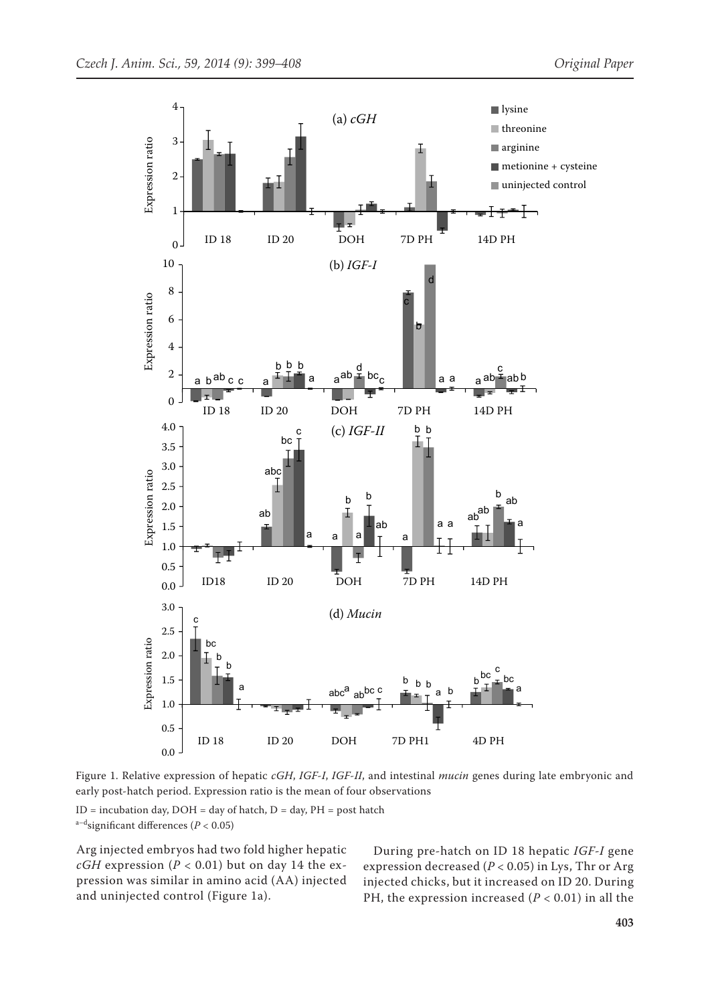

Figure 1. Relative expression of hepatic *cGH*, *IGF-I*, *IGF-II*, and intestinal *mucin* genes during late embryonic and early post-hatch period. Expression ratio is the mean of four observations  $ID = incubation day, DOH = day of hatch, D = day, PH = post hatch$ 

a–dsignificant differences (*P* < 0.05)

Arg injected embryos had two fold higher hepatic *cGH* expression ( $P < 0.01$ ) but on day 14 the expression was similar in amino acid (AA) injected and uninjected control (Figure 1a).

During pre-hatch on ID 18 hepatic *IGF-I* gene expression decreased (*P* < 0.05) in Lys, Thr or Arg injected chicks, but it increased on ID 20. During PH, the expression increased (*P* < 0.01) in all the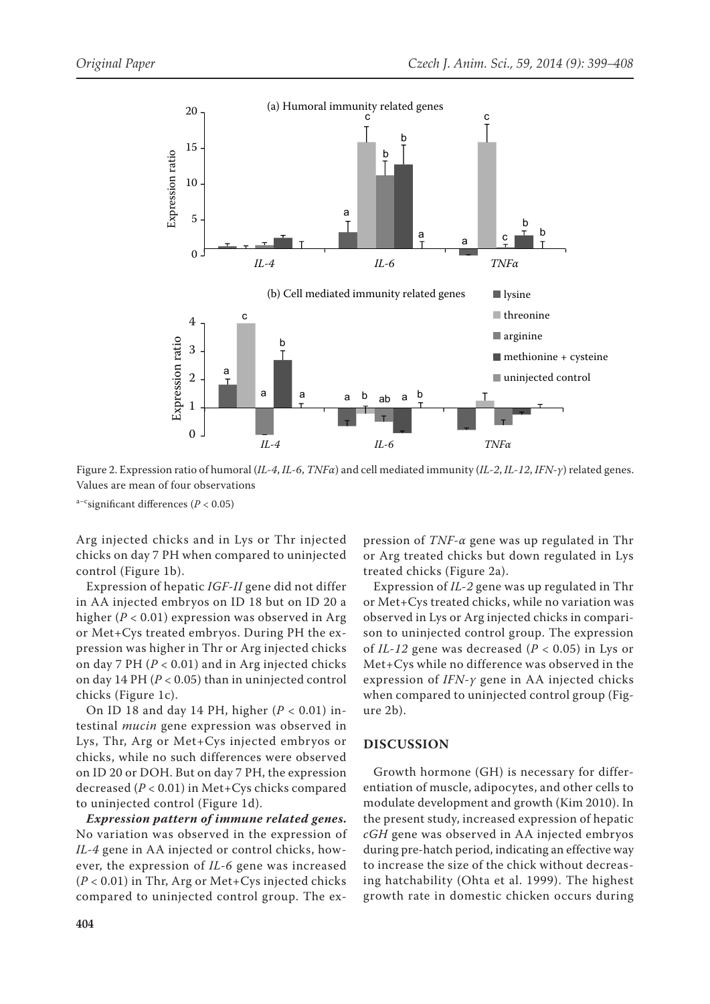

Figure 2. Expression ratio of humoral (*IL-4*, *IL-6*, *TNFα*) and cell mediated immunity (*IL-2*, *IL-12*, *IFN-γ*) related genes. Values are mean of four observations

a–csignificant differences (*P* < 0.05)

Arg injected chicks and in Lys or Thr injected chicks on day 7 PH when compared to uninjected control (Figure 1b).

Expression of hepatic *IGF-II* gene did not differ in AA injected embryos on ID 18 but on ID 20 a higher (*P* < 0.01) expression was observed in Arg or Met+Cys treated embryos. During PH the expression was higher in Thr or Arg injected chicks on day 7 PH (*P* < 0.01) and in Arg injected chicks on day 14 PH (*P* < 0.05) than in uninjected control chicks (Figure 1c).

On ID 18 and day 14 PH, higher (*P* < 0.01) intestinal *mucin* gene expression was observed in Lys, Thr, Arg or Met+Cys injected embryos or chicks, while no such differences were observed on ID 20 or DOH. But on day 7 PH, the expression decreased (*P* < 0.01) in Met+Cys chicks compared to uninjected control (Figure 1d).

*Expression pattern of immune related genes***.**  No variation was observed in the expression of *IL-4* gene in AA injected or control chicks, however, the expression of *IL-6* gene was increased (*P* < 0.01) in Thr, Arg or Met+Cys injected chicks compared to uninjected control group. The ex-

pression of *TNF-α* gene was up regulated in Thr or Arg treated chicks but down regulated in Lys treated chicks (Figure 2a).

Expression of *IL-2* gene was up regulated in Thr or Met+Cys treated chicks, while no variation was observed in Lys or Arg injected chicks in comparison to uninjected control group. The expression of *IL-12* gene was decreased (*P* < 0.05) in Lys or Met+Cys while no difference was observed in the expression of *IFN-γ* gene in AA injected chicks when compared to uninjected control group (Figure 2b).

#### **DISCUSSION**

Growth hormone (GH) is necessary for differentiation of muscle, adipocytes, and other cells to modulate development and growth (Kim 2010). In the present study, increased expression of hepatic *cGH* gene was observed in AA injected embryos during pre-hatch period, indicating an effective way to increase the size of the chick without decreasing hatchability (Ohta et al. 1999). The highest growth rate in domestic chicken occurs during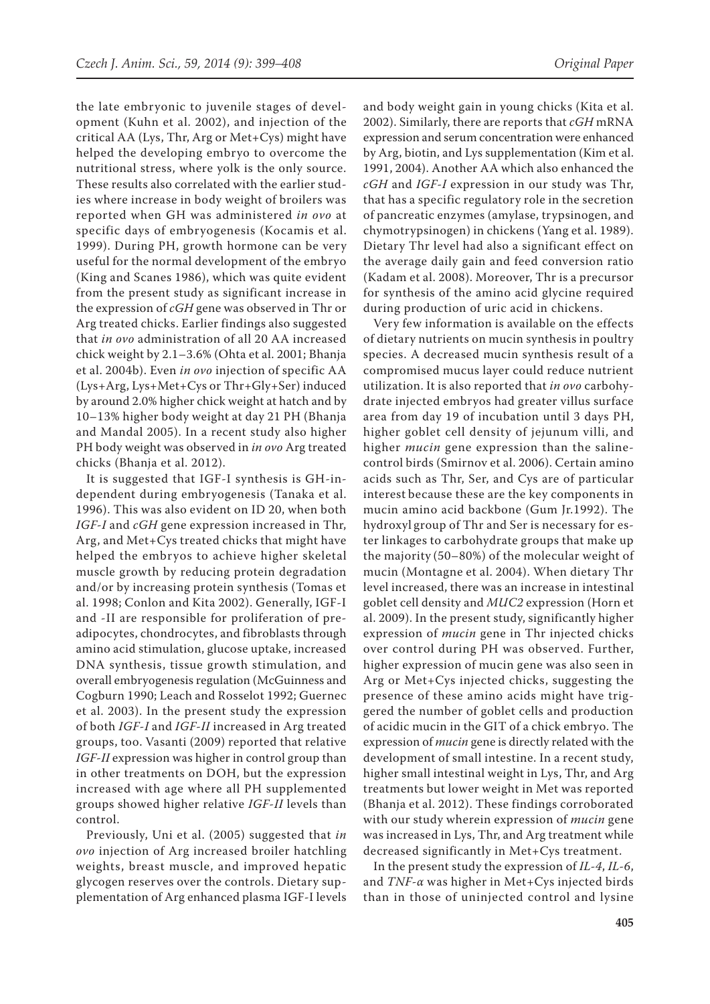the late embryonic to juvenile stages of development (Kuhn et al. 2002), and injection of the critical AA (Lys, Thr, Arg or Met+Cys) might have helped the developing embryo to overcome the nutritional stress, where yolk is the only source. These results also correlated with the earlier studies where increase in body weight of broilers was reported when GH was administered *in ovo* at specific days of embryogenesis (Kocamis et al. 1999). During PH, growth hormone can be very useful for the normal development of the embryo (King and Scanes 1986), which was quite evident from the present study as significant increase in the expression of *cGH* gene was observed in Thr or Arg treated chicks. Earlier findings also suggested that *in ovo* administration of all 20 AA increased chick weight by 2.1–3.6% (Ohta et al. 2001; Bhanja et al. 2004b). Even *in ovo* injection of specific AA (Lys+Arg, Lys+Met+Cys or Thr+Gly+Ser) induced by around 2.0% higher chick weight at hatch and by 10–13% higher body weight at day 21 PH (Bhanja and Mandal 2005). In a recent study also higher PH body weight was observed in *in ovo* Arg treated chicks (Bhanja et al. 2012).

It is suggested that IGF-I synthesis is GH-independent during embryogenesis (Tanaka et al. 1996). This was also evident on ID 20, when both *IGF-I* and *cGH* gene expression increased in Thr, Arg, and Met+Cys treated chicks that might have helped the embryos to achieve higher skeletal muscle growth by reducing protein degradation and/or by increasing protein synthesis (Tomas et al. 1998; Conlon and Kita 2002). Generally, IGF-I and -II are responsible for proliferation of preadipocytes, chondrocytes, and fibroblasts through amino acid stimulation, glucose uptake, increased DNA synthesis, tissue growth stimulation, and overall embryogenesis regulation (McGuinness and Cogburn 1990; Leach and Rosselot 1992; Guernec et al. 2003). In the present study the expression of both *IGF-I* and *IGF-II* increased in Arg treated groups, too. Vasanti (2009) reported that relative *IGF-II* expression was higher in control group than in other treatments on DOH, but the expression increased with age where all PH supplemented groups showed higher relative *IGF-II* levels than control.

Previously, Uni et al. (2005) suggested that *in ovo* injection of Arg increased broiler hatchling weights, breast muscle, and improved hepatic glycogen reserves over the controls. Dietary supplementation of Arg enhanced plasma IGF-I levels

and body weight gain in young chicks (Kita et al. 2002). Similarly, there are reports that *cGH* mRNA expression and serum concentration were enhanced by Arg, biotin, and Lys supplementation (Kim et al. 1991, 2004). Another AA which also enhanced the *cGH* and *IGF-I* expression in our study was Thr, that has a specific regulatory role in the secretion of pancreatic enzymes (amylase, trypsinogen, and chymotrypsinogen) in chickens (Yang et al. 1989). Dietary Thr level had also a significant effect on the average daily gain and feed conversion ratio (Kadam et al. 2008). Moreover, Thr is a precursor for synthesis of the amino acid glycine required during production of uric acid in chickens.

Very few information is available on the effects of dietary nutrients on mucin synthesis in poultry species. A decreased mucin synthesis result of a compromised mucus layer could reduce nutrient utilization. It is also reported that *in ovo* carbohydrate injected embryos had greater villus surface area from day 19 of incubation until 3 days PH, higher goblet cell density of jejunum villi, and higher *mucin* gene expression than the salinecontrol birds (Smirnov et al. 2006). Certain amino acids such as Thr, Ser, and Cys are of particular interest because these are the key components in mucin amino acid backbone (Gum Jr.1992). The hydroxyl group of Thr and Ser is necessary for ester linkages to carbohydrate groups that make up the majority (50–80%) of the molecular weight of mucin (Montagne et al. 2004). When dietary Thr level increased, there was an increase in intestinal goblet cell density and *MUC2* expression (Horn et al. 2009). In the present study, significantly higher expression of *mucin* gene in Thr injected chicks over control during PH was observed. Further, higher expression of mucin gene was also seen in Arg or Met+Cys injected chicks, suggesting the presence of these amino acids might have triggered the number of goblet cells and production of acidic mucin in the GIT of a chick embryo. The expression of *mucin* gene is directly related with the development of small intestine. In a recent study, higher small intestinal weight in Lys, Thr, and Arg treatments but lower weight in Met was reported (Bhanja et al. 2012). These findings corroborated with our study wherein expression of *mucin* gene was increased in Lys, Thr, and Arg treatment while decreased significantly in Met+Cys treatment.

In the present study the expression of *IL-4*, *IL-6*, and *TNF-α* was higher in Met+Cys injected birds than in those of uninjected control and lysine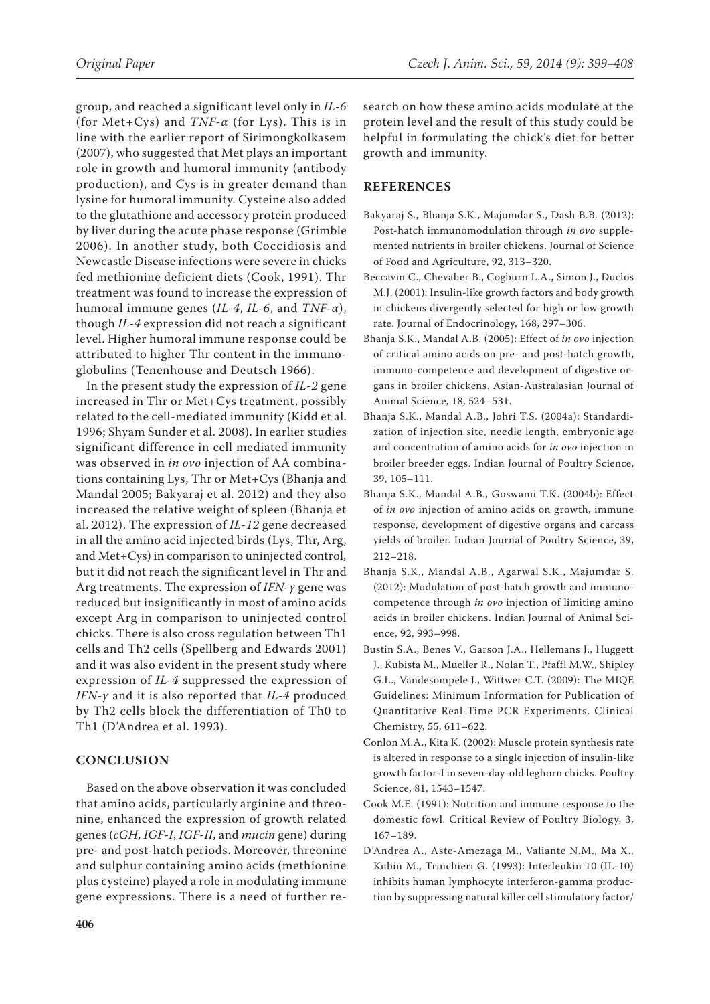group, and reached a significant level only in *IL-6* (for Met+Cys) and *TNF-α* (for Lys). This is in line with the earlier report of Sirimongkolkasem (2007), who suggested that Met plays an important role in growth and humoral immunity (antibody production), and Cys is in greater demand than lysine for humoral immunity. Cysteine also added to the glutathione and accessory protein produced by liver during the acute phase response (Grimble 2006). In another study, both Coccidiosis and Newcastle Disease infections were severe in chicks fed methionine deficient diets (Cook, 1991). Thr treatment was found to increase the expression of humoral immune genes (*IL-4*, *IL-6*, and *TNF-α*), though *IL-4* expression did not reach a significant level. Higher humoral immune response could be attributed to higher Thr content in the immunoglobulins (Tenenhouse and Deutsch 1966).

In the present study the expression of *IL-2* gene increased in Thr or Met+Cys treatment, possibly related to the cell-mediated immunity (Kidd et al. 1996; Shyam Sunder et al. 2008). In earlier studies significant difference in cell mediated immunity was observed in *in ovo* injection of AA combinations containing Lys, Thr or Met+Cys (Bhanja and Mandal 2005; Bakyaraj et al. 2012) and they also increased the relative weight of spleen (Bhanja et al. 2012). The expression of *IL-12* gene decreased in all the amino acid injected birds (Lys, Thr, Arg, and Met+Cys) in comparison to uninjected control, but it did not reach the significant level in Thr and Arg treatments. The expression of *IFN-γ* gene was reduced but insignificantly in most of amino acids except Arg in comparison to uninjected control chicks. There is also cross regulation between Th1 cells and Th2 cells (Spellberg and Edwards 2001) and it was also evident in the present study where expression of *IL-4* suppressed the expression of *IFN-γ* and it is also reported that *IL-4* produced by Th2 cells block the differentiation of Th0 to Th1 (D'Andrea et al. 1993).

### **CONCLUSION**

Based on the above observation it was concluded that amino acids, particularly arginine and threonine, enhanced the expression of growth related genes (*cGH*, *IGF-I*, *IGF-II*, and *mucin* gene) during pre- and post-hatch periods. Moreover, threonine and sulphur containing amino acids (methionine plus cysteine) played a role in modulating immune gene expressions. There is a need of further research on how these amino acids modulate at the protein level and the result of this study could be helpful in formulating the chick's diet for better growth and immunity.

#### **REFERENCES**

- Bakyaraj S., Bhanja S.K., Majumdar S., Dash B.B. (2012): Post-hatch immunomodulation through *in ovo* supplemented nutrients in broiler chickens. Journal of Science of Food and Agriculture, 92, 313–320.
- Beccavin C., Chevalier B., Cogburn L.A., Simon J., Duclos M.J. (2001): Insulin-like growth factors and body growth in chickens divergently selected for high or low growth rate. Journal of Endocrinology, 168, 297–306.
- Bhanja S.K., Mandal A.B. (2005): Effect of *in ovo* injection of critical amino acids on pre- and post-hatch growth, immuno-competence and development of digestive organs in broiler chickens. Asian-Australasian Journal of Animal Science, 18, 524–531.
- Bhanja S.K., Mandal A.B., Johri T.S. (2004a): Standardization of injection site, needle length, embryonic age and concentration of amino acids for *in ovo* injection in broiler breeder eggs. Indian Journal of Poultry Science, 39, 105–111.
- Bhanja S.K., Mandal A.B., Goswami T.K. (2004b): Effect of *in ovo* injection of amino acids on growth, immune response, development of digestive organs and carcass yields of broiler. Indian Journal of Poultry Science, 39, 212–218.
- Bhanja S.K., Mandal A.B., Agarwal S.K., Majumdar S. (2012): Modulation of post-hatch growth and immunocompetence through *in ovo* injection of limiting amino acids in broiler chickens. Indian Journal of Animal Science, 92, 993–998.
- Bustin S.A., Benes V., Garson J.A., Hellemans J., Huggett J., Kubista M., Mueller R., Nolan T., Pfaffl M.W., Shipley G.L., Vandesompele J., Wittwer C.T. (2009): The MIQE Guidelines: Minimum Information for Publication of Quantitative Real-Time PCR Experiments. Clinical Chemistry, 55, 611–622.
- Conlon M.A., Kita K. (2002): Muscle protein synthesis rate is altered in response to a single injection of insulin-like growth factor-I in seven-day-old leghorn chicks. Poultry Science, 81, 1543–1547.
- Cook M.E. (1991): Nutrition and immune response to the domestic fowl. Critical Review of Poultry Biology, 3, 167–189.
- D'Andrea A., Aste-Amezaga M., Valiante N.M., Ma X., Kubin M., Trinchieri G. (1993): Interleukin 10 (IL-10) inhibits human lymphocyte interferon-gamma production by suppressing natural killer cell stimulatory factor/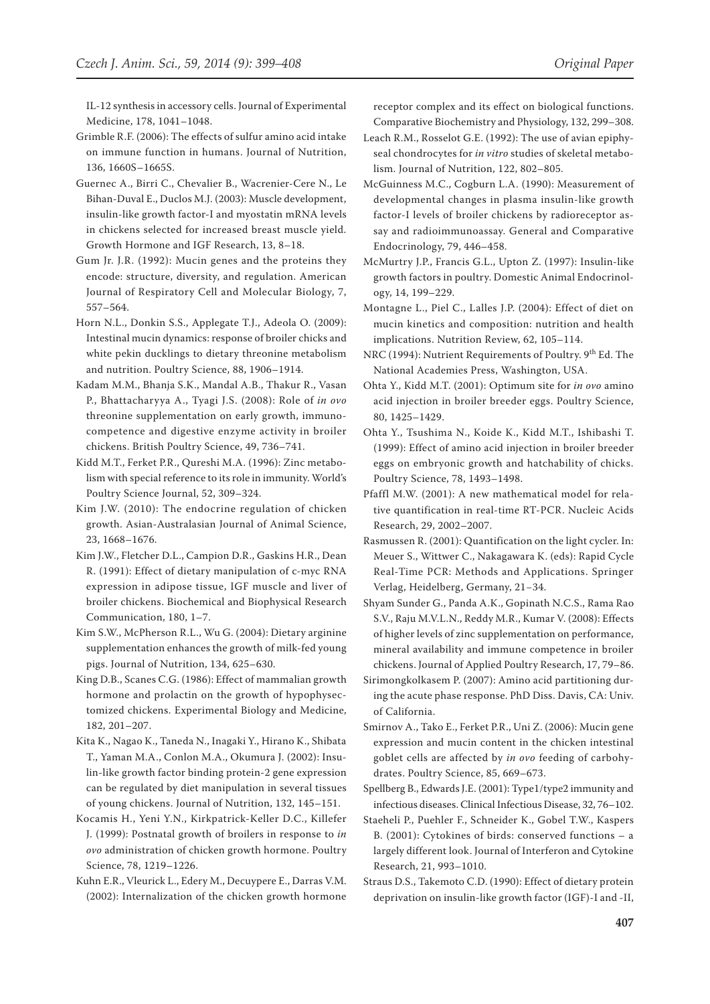IL-12 synthesis in accessory cells. Journal of Experimental Medicine, 178, 1041–1048.

- Grimble R.F. (2006): The effects of sulfur amino acid intake on immune function in humans. Journal of Nutrition, 136, 1660S–1665S.
- Guernec A., Birri C., Chevalier B., Wacrenier-Cere N., Le Bihan-Duval E., Duclos M.J. (2003): Muscle development, insulin-like growth factor-I and myostatin mRNA levels in chickens selected for increased breast muscle yield. Growth Hormone and IGF Research, 13, 8–18.
- Gum Jr. J.R. (1992): Mucin genes and the proteins they encode: structure, diversity, and regulation. American Journal of Respiratory Cell and Molecular Biology, 7, 557–564.
- Horn N.L., Donkin S.S., Applegate T.J., Adeola O. (2009): Intestinal mucin dynamics: response of broiler chicks and white pekin ducklings to dietary threonine metabolism and nutrition. Poultry Science, 88, 1906–1914.
- Kadam M.M., Bhanja S.K., Mandal A.B., Thakur R., Vasan P., Bhattacharyya A., Tyagi J.S. (2008): Role of *in ovo* threonine supplementation on early growth, immunocompetence and digestive enzyme activity in broiler chickens. British Poultry Science, 49, 736–741.
- Kidd M.T., Ferket P.R., Qureshi M.A. (1996): Zinc metabolism with special reference to its role in immunity. World's Poultry Science Journal, 52, 309–324.
- Kim J.W. (2010): The endocrine regulation of chicken growth. Asian-Australasian Journal of Animal Science, 23, 1668–1676.
- Kim J.W., Fletcher D.L., Campion D.R., Gaskins H.R., Dean R. (1991): Effect of dietary manipulation of c-myc RNA expression in adipose tissue, IGF muscle and liver of broiler chickens. Biochemical and Biophysical Research Communication, 180, 1–7.
- Kim S.W., McPherson R.L., Wu G. (2004): Dietary arginine supplementation enhances the growth of milk-fed young pigs. Journal of Nutrition, 134, 625–630.
- King D.B., Scanes C.G. (1986): Effect of mammalian growth hormone and prolactin on the growth of hypophysectomized chickens. Experimental Biology and Medicine, 182, 201–207.
- Kita K., Nagao K., Taneda N., Inagaki Y., Hirano K., Shibata T., Yaman M.A., Conlon M.A., Okumura J. (2002): Insulin-like growth factor binding protein-2 gene expression can be regulated by diet manipulation in several tissues of young chickens. Journal of Nutrition, 132, 145–151.
- Kocamis H., Yeni Y.N., Kirkpatrick-Keller D.C., Killefer J. (1999): Postnatal growth of broilers in response to *in ovo* administration of chicken growth hormone. Poultry Science, 78, 1219–1226.
- Kuhn E.R., Vleurick L., Edery M., Decuypere E., Darras V.M. (2002): Internalization of the chicken growth hormone

receptor complex and its effect on biological functions. Comparative Biochemistry and Physiology, 132, 299–308.

- Leach R.M., Rosselot G.E. (1992): The use of avian epiphyseal chondrocytes for *in vitro* studies of skeletal metabolism. Journal of Nutrition, 122, 802–805.
- McGuinness M.C., Cogburn L.A. (1990): Measurement of developmental changes in plasma insulin-like growth factor-I levels of broiler chickens by radioreceptor assay and radioimmunoassay. General and Comparative Endocrinology, 79, 446–458.
- McMurtry J.P., Francis G.L., Upton Z. (1997): Insulin-like growth factors in poultry. Domestic Animal Endocrinology, 14, 199–229.
- Montagne L., Piel C., Lalles J.P. (2004): Effect of diet on mucin kinetics and composition: nutrition and health implications. Nutrition Review, 62, 105–114.
- NRC (1994): Nutrient Requirements of Poultry. 9<sup>th</sup> Ed. The National Academies Press, Washington, USA.
- Ohta Y., Kidd M.T. (2001): Optimum site for *in ovo* amino acid injection in broiler breeder eggs. Poultry Science, 80, 1425–1429.
- Ohta Y., Tsushima N., Koide K., Kidd M.T., Ishibashi T. (1999): Effect of amino acid injection in broiler breeder eggs on embryonic growth and hatchability of chicks. Poultry Science, 78, 1493–1498.
- Pfaffl M.W. (2001): A new mathematical model for relative quantification in real-time RT-PCR. Nucleic Acids Research, 29, 2002–2007.
- Rasmussen R. (2001): Quantification on the light cycler. In: Meuer S., Wittwer C., Nakagawara K. (eds): Rapid Cycle Real-Time PCR: Methods and Applications. Springer Verlag, Heidelberg, Germany, 21−34.
- Shyam Sunder G., Panda A.K., Gopinath N.C.S., Rama Rao S.V., Raju M.V.L.N., Reddy M.R., Kumar V. (2008): Effects of higher levels of zinc supplementation on performance, mineral availability and immune competence in broiler chickens. Journal of Applied Poultry Research, 17, 79–86.
- Sirimongkolkasem P. (2007): Amino acid partitioning during the acute phase response. PhD Diss. Davis, CA: Univ. of California.
- Smirnov A., Tako E., Ferket P.R., Uni Z. (2006): Mucin gene expression and mucin content in the chicken intestinal goblet cells are affected by *in ovo* feeding of carbohydrates. Poultry Science, 85, 669–673.
- Spellberg B., Edwards J.E. (2001): Type1/type2 immunity and infectious diseases. Clinical Infectious Disease, 32, 76–102.
- Staeheli P., Puehler F., Schneider K., Gobel T.W., Kaspers B. (2001): Cytokines of birds: conserved functions – a largely different look. Journal of Interferon and Cytokine Research, 21, 993–1010.
- Straus D.S., Takemoto C.D. (1990): Effect of dietary protein deprivation on insulin-like growth factor (IGF)-I and -II,